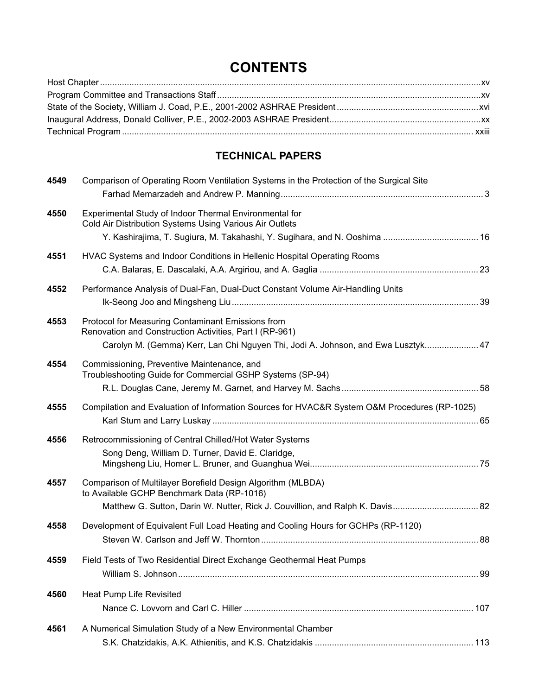## **CONTENTS**

## **TECHNICAL PAPERS**

| 4549 | Comparison of Operating Room Ventilation Systems in the Protection of the Surgical Site                                                                                                          |  |
|------|--------------------------------------------------------------------------------------------------------------------------------------------------------------------------------------------------|--|
| 4550 | Experimental Study of Indoor Thermal Environmental for<br>Cold Air Distribution Systems Using Various Air Outlets<br>Y. Kashirajima, T. Sugiura, M. Takahashi, Y. Sugihara, and N. Ooshima  16   |  |
| 4551 | HVAC Systems and Indoor Conditions in Hellenic Hospital Operating Rooms                                                                                                                          |  |
| 4552 | Performance Analysis of Dual-Fan, Dual-Duct Constant Volume Air-Handling Units                                                                                                                   |  |
| 4553 | Protocol for Measuring Contaminant Emissions from<br>Renovation and Construction Activities, Part I (RP-961)<br>Carolyn M. (Gemma) Kerr, Lan Chi Nguyen Thi, Jodi A. Johnson, and Ewa Lusztyk 47 |  |
| 4554 | Commissioning, Preventive Maintenance, and<br>Troubleshooting Guide for Commercial GSHP Systems (SP-94)                                                                                          |  |
| 4555 | Compilation and Evaluation of Information Sources for HVAC&R System O&M Procedures (RP-1025)                                                                                                     |  |
| 4556 | Retrocommissioning of Central Chilled/Hot Water Systems<br>Song Deng, William D. Turner, David E. Claridge,                                                                                      |  |
| 4557 | Comparison of Multilayer Borefield Design Algorithm (MLBDA)<br>to Available GCHP Benchmark Data (RP-1016)                                                                                        |  |
| 4558 | Development of Equivalent Full Load Heating and Cooling Hours for GCHPs (RP-1120)                                                                                                                |  |
| 4559 | Field Tests of Two Residential Direct Exchange Geothermal Heat Pumps                                                                                                                             |  |
| 4560 | Heat Pump Life Revisited                                                                                                                                                                         |  |
| 4561 | A Numerical Simulation Study of a New Environmental Chamber                                                                                                                                      |  |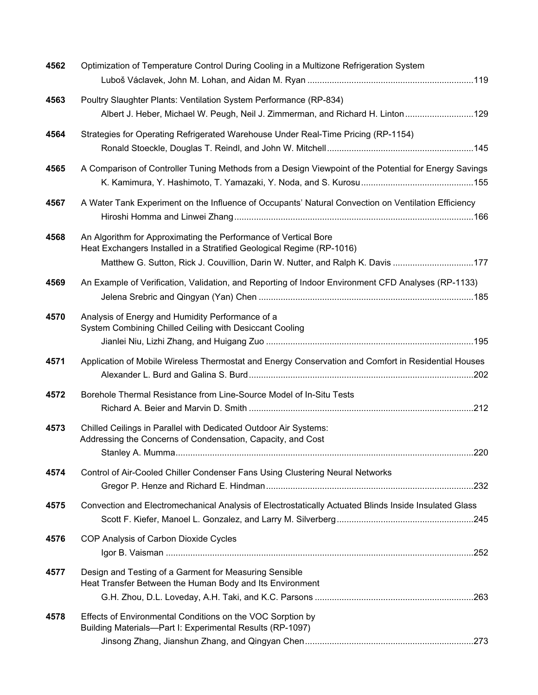| 4562 | Optimization of Temperature Control During Cooling in a Multizone Refrigeration System                                                                                                                                     |     |
|------|----------------------------------------------------------------------------------------------------------------------------------------------------------------------------------------------------------------------------|-----|
| 4563 | Poultry Slaughter Plants: Ventilation System Performance (RP-834)<br>Albert J. Heber, Michael W. Peugh, Neil J. Zimmerman, and Richard H. Linton129                                                                        |     |
| 4564 | Strategies for Operating Refrigerated Warehouse Under Real-Time Pricing (RP-1154)                                                                                                                                          |     |
| 4565 | A Comparison of Controller Tuning Methods from a Design Viewpoint of the Potential for Energy Savings                                                                                                                      |     |
| 4567 | A Water Tank Experiment on the Influence of Occupants' Natural Convection on Ventilation Efficiency                                                                                                                        |     |
| 4568 | An Algorithm for Approximating the Performance of Vertical Bore<br>Heat Exchangers Installed in a Stratified Geological Regime (RP-1016)<br>Matthew G. Sutton, Rick J. Couvillion, Darin W. Nutter, and Ralph K. Davis 177 |     |
| 4569 | An Example of Verification, Validation, and Reporting of Indoor Environment CFD Analyses (RP-1133)                                                                                                                         |     |
| 4570 | Analysis of Energy and Humidity Performance of a<br>System Combining Chilled Ceiling with Desiccant Cooling                                                                                                                |     |
| 4571 | Application of Mobile Wireless Thermostat and Energy Conservation and Comfort in Residential Houses                                                                                                                        |     |
| 4572 | Borehole Thermal Resistance from Line-Source Model of In-Situ Tests                                                                                                                                                        |     |
| 4573 | Chilled Ceilings in Parallel with Dedicated Outdoor Air Systems:<br>Addressing the Concerns of Condensation, Capacity, and Cost                                                                                            | 220 |
| 4574 | Control of Air-Cooled Chiller Condenser Fans Using Clustering Neural Networks                                                                                                                                              |     |
| 4575 | Convection and Electromechanical Analysis of Electrostatically Actuated Blinds Inside Insulated Glass                                                                                                                      |     |
| 4576 | COP Analysis of Carbon Dioxide Cycles                                                                                                                                                                                      |     |
| 4577 | Design and Testing of a Garment for Measuring Sensible<br>Heat Transfer Between the Human Body and Its Environment                                                                                                         |     |
| 4578 | Effects of Environmental Conditions on the VOC Sorption by<br>Building Materials-Part I: Experimental Results (RP-1097)                                                                                                    |     |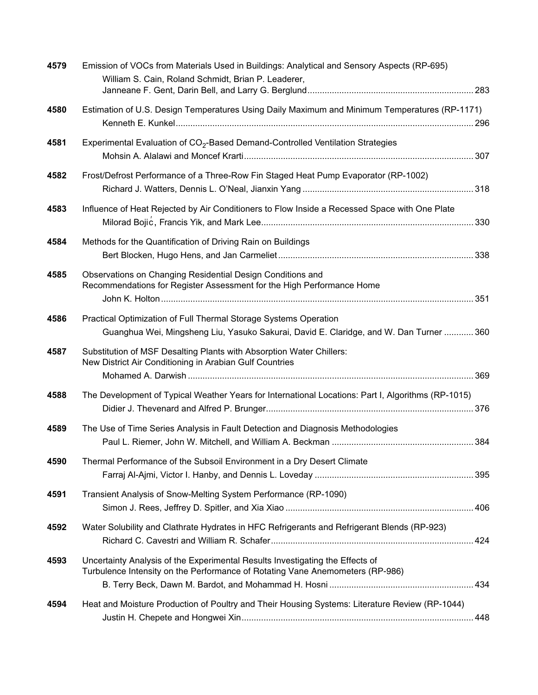| 4579 | Emission of VOCs from Materials Used in Buildings: Analytical and Sensory Aspects (RP-695)<br>William S. Cain, Roland Schmidt, Brian P. Leaderer,              |  |
|------|----------------------------------------------------------------------------------------------------------------------------------------------------------------|--|
| 4580 | Estimation of U.S. Design Temperatures Using Daily Maximum and Minimum Temperatures (RP-1171)                                                                  |  |
| 4581 | Experimental Evaluation of CO <sub>2</sub> -Based Demand-Controlled Ventilation Strategies                                                                     |  |
| 4582 | Frost/Defrost Performance of a Three-Row Fin Staged Heat Pump Evaporator (RP-1002)                                                                             |  |
| 4583 | Influence of Heat Rejected by Air Conditioners to Flow Inside a Recessed Space with One Plate                                                                  |  |
| 4584 | Methods for the Quantification of Driving Rain on Buildings                                                                                                    |  |
| 4585 | Observations on Changing Residential Design Conditions and<br>Recommendations for Register Assessment for the High Performance Home                            |  |
| 4586 | Practical Optimization of Full Thermal Storage Systems Operation<br>Guanghua Wei, Mingsheng Liu, Yasuko Sakurai, David E. Claridge, and W. Dan Turner  360     |  |
| 4587 | Substitution of MSF Desalting Plants with Absorption Water Chillers:<br>New District Air Conditioning in Arabian Gulf Countries                                |  |
| 4588 | The Development of Typical Weather Years for International Locations: Part I, Algorithms (RP-1015)                                                             |  |
| 4589 | The Use of Time Series Analysis in Fault Detection and Diagnosis Methodologies                                                                                 |  |
| 4590 | Thermal Performance of the Subsoil Environment in a Dry Desert Climate                                                                                         |  |
| 4591 | Transient Analysis of Snow-Melting System Performance (RP-1090)                                                                                                |  |
| 4592 | Water Solubility and Clathrate Hydrates in HFC Refrigerants and Refrigerant Blends (RP-923)                                                                    |  |
| 4593 | Uncertainty Analysis of the Experimental Results Investigating the Effects of<br>Turbulence Intensity on the Performance of Rotating Vane Anemometers (RP-986) |  |
| 4594 | Heat and Moisture Production of Poultry and Their Housing Systems: Literature Review (RP-1044)                                                                 |  |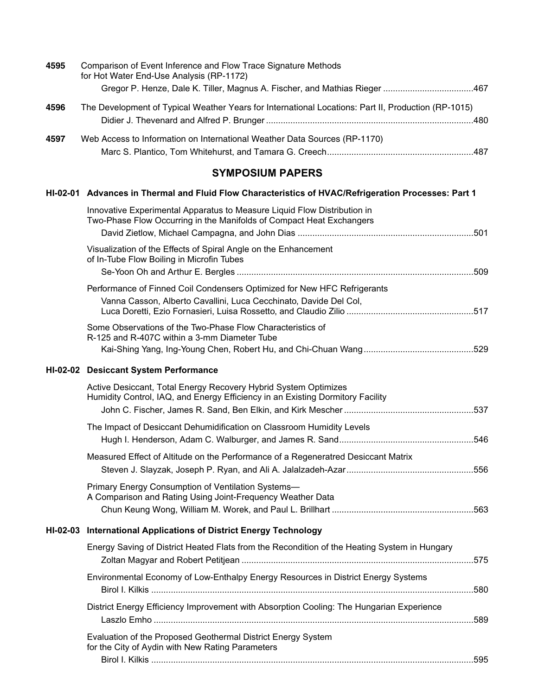| 4595 | Comparison of Event Inference and Flow Trace Signature Methods<br>for Hot Water End-Use Analysis (RP-1172)<br>Gregor P. Henze, Dale K. Tiller, Magnus A. Fischer, and Mathias Rieger 467 |  |
|------|------------------------------------------------------------------------------------------------------------------------------------------------------------------------------------------|--|
| 4596 | The Development of Typical Weather Years for International Locations: Part II, Production (RP-1015)                                                                                      |  |
| 4597 | Web Access to Information on International Weather Data Sources (RP-1170)                                                                                                                |  |
|      | <b>SYMPOSIUM PAPERS</b>                                                                                                                                                                  |  |
|      | HI-02-01 Advances in Thermal and Fluid Flow Characteristics of HVAC/Refrigeration Processes: Part 1                                                                                      |  |
|      | Innovative Experimental Apparatus to Measure Liquid Flow Distribution in<br>Two-Phase Flow Occurring in the Manifolds of Compact Heat Exchangers                                         |  |
|      |                                                                                                                                                                                          |  |
|      | Visualization of the Effects of Spiral Angle on the Enhancement<br>of In-Tube Flow Boiling in Microfin Tubes                                                                             |  |
|      |                                                                                                                                                                                          |  |
|      | Performance of Finned Coil Condensers Optimized for New HFC Refrigerants<br>Vanna Casson, Alberto Cavallini, Luca Cecchinato, Davide Del Col,                                            |  |
|      | Some Observations of the Two-Phase Flow Characteristics of<br>R-125 and R-407C within a 3-mm Diameter Tube                                                                               |  |
|      | HI-02-02 Desiccant System Performance                                                                                                                                                    |  |
|      | Active Desiccant, Total Energy Recovery Hybrid System Optimizes                                                                                                                          |  |
|      | Humidity Control, IAQ, and Energy Efficiency in an Existing Dormitory Facility                                                                                                           |  |
|      | The Impact of Desiccant Dehumidification on Classroom Humidity Levels                                                                                                                    |  |
|      |                                                                                                                                                                                          |  |
|      | Measured Effect of Altitude on the Performance of a Regeneratred Desiccant Matrix                                                                                                        |  |
|      | Primary Energy Consumption of Ventilation Systems-<br>A Comparison and Rating Using Joint-Frequency Weather Data                                                                         |  |
|      |                                                                                                                                                                                          |  |
|      | HI-02-03 International Applications of District Energy Technology                                                                                                                        |  |
|      | Energy Saving of District Heated Flats from the Recondition of the Heating System in Hungary                                                                                             |  |
|      | Environmental Economy of Low-Enthalpy Energy Resources in District Energy Systems                                                                                                        |  |
|      | District Energy Efficiency Improvement with Absorption Cooling: The Hungarian Experience                                                                                                 |  |
|      | Evaluation of the Proposed Geothermal District Energy System<br>for the City of Aydin with New Rating Parameters                                                                         |  |
|      |                                                                                                                                                                                          |  |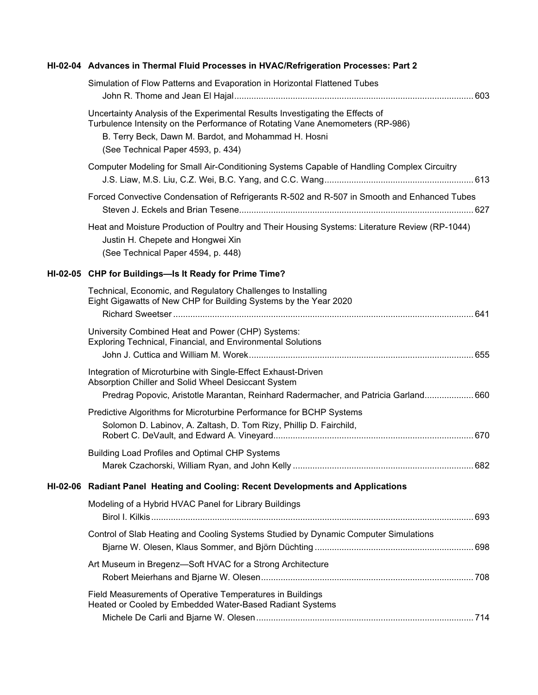| HI-02-04 Advances in Thermal Fluid Processes in HVAC/Refrigeration Processes: Part 2                                                                                                                                                                         |  |
|--------------------------------------------------------------------------------------------------------------------------------------------------------------------------------------------------------------------------------------------------------------|--|
| Simulation of Flow Patterns and Evaporation in Horizontal Flattened Tubes                                                                                                                                                                                    |  |
| Uncertainty Analysis of the Experimental Results Investigating the Effects of<br>Turbulence Intensity on the Performance of Rotating Vane Anemometers (RP-986)<br>B. Terry Beck, Dawn M. Bardot, and Mohammad H. Hosni<br>(See Technical Paper 4593, p. 434) |  |
| Computer Modeling for Small Air-Conditioning Systems Capable of Handling Complex Circuitry                                                                                                                                                                   |  |
| Forced Convective Condensation of Refrigerants R-502 and R-507 in Smooth and Enhanced Tubes                                                                                                                                                                  |  |
| Heat and Moisture Production of Poultry and Their Housing Systems: Literature Review (RP-1044)<br>Justin H. Chepete and Hongwei Xin<br>(See Technical Paper 4594, p. 448)                                                                                    |  |
| HI-02-05 CHP for Buildings-Is It Ready for Prime Time?                                                                                                                                                                                                       |  |
| Technical, Economic, and Regulatory Challenges to Installing<br>Eight Gigawatts of New CHP for Building Systems by the Year 2020                                                                                                                             |  |
| University Combined Heat and Power (CHP) Systems:<br>Exploring Technical, Financial, and Environmental Solutions                                                                                                                                             |  |
| Integration of Microturbine with Single-Effect Exhaust-Driven<br>Absorption Chiller and Solid Wheel Desiccant System<br>Predrag Popovic, Aristotle Marantan, Reinhard Radermacher, and Patricia Garland 660                                                  |  |
| Predictive Algorithms for Microturbine Performance for BCHP Systems<br>Solomon D. Labinov, A. Zaltash, D. Tom Rizy, Phillip D. Fairchild,                                                                                                                    |  |
| <b>Building Load Profiles and Optimal CHP Systems</b>                                                                                                                                                                                                        |  |
| HI-02-06 Radiant Panel Heating and Cooling: Recent Developments and Applications                                                                                                                                                                             |  |
| Modeling of a Hybrid HVAC Panel for Library Buildings                                                                                                                                                                                                        |  |
| Control of Slab Heating and Cooling Systems Studied by Dynamic Computer Simulations                                                                                                                                                                          |  |
| Art Museum in Bregenz-Soft HVAC for a Strong Architecture                                                                                                                                                                                                    |  |
| Field Measurements of Operative Temperatures in Buildings<br>Heated or Cooled by Embedded Water-Based Radiant Systems                                                                                                                                        |  |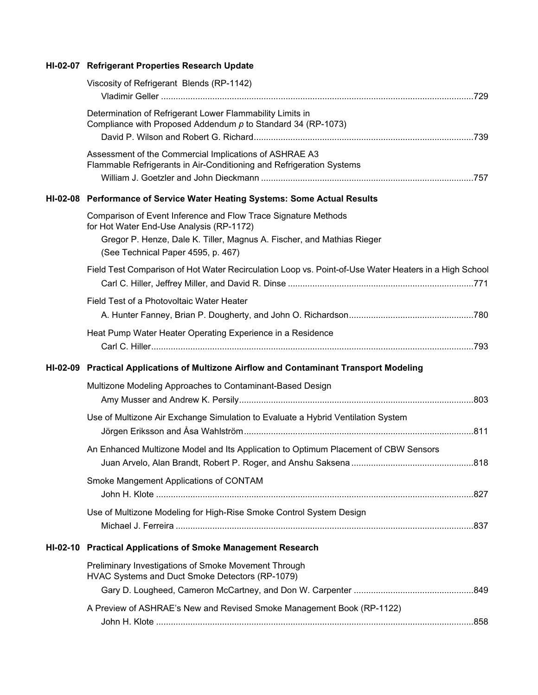## **HI-02-07 Refrigerant Properties Research Update**

|          | Viscosity of Refrigerant Blends (RP-1142)                                                                                                                                                                                  |  |
|----------|----------------------------------------------------------------------------------------------------------------------------------------------------------------------------------------------------------------------------|--|
|          | Determination of Refrigerant Lower Flammability Limits in<br>Compliance with Proposed Addendum $p$ to Standard 34 (RP-1073)                                                                                                |  |
|          | Assessment of the Commercial Implications of ASHRAE A3<br>Flammable Refrigerants in Air-Conditioning and Refrigeration Systems                                                                                             |  |
|          | HI-02-08 Performance of Service Water Heating Systems: Some Actual Results                                                                                                                                                 |  |
|          | Comparison of Event Inference and Flow Trace Signature Methods<br>for Hot Water End-Use Analysis (RP-1172)<br>Gregor P. Henze, Dale K. Tiller, Magnus A. Fischer, and Mathias Rieger<br>(See Technical Paper 4595, p. 467) |  |
|          | Field Test Comparison of Hot Water Recirculation Loop vs. Point-of-Use Water Heaters in a High School                                                                                                                      |  |
|          | Field Test of a Photovoltaic Water Heater                                                                                                                                                                                  |  |
|          | Heat Pump Water Heater Operating Experience in a Residence                                                                                                                                                                 |  |
|          | HI-02-09 Practical Applications of Multizone Airflow and Contaminant Transport Modeling                                                                                                                                    |  |
|          | Multizone Modeling Approaches to Contaminant-Based Design                                                                                                                                                                  |  |
|          | Use of Multizone Air Exchange Simulation to Evaluate a Hybrid Ventilation System                                                                                                                                           |  |
|          | An Enhanced Multizone Model and Its Application to Optimum Placement of CBW Sensors                                                                                                                                        |  |
|          | Smoke Mangement Applications of CONTAM                                                                                                                                                                                     |  |
|          | Use of Multizone Modeling for High-Rise Smoke Control System Design                                                                                                                                                        |  |
| HI-02-10 | <b>Practical Applications of Smoke Management Research</b>                                                                                                                                                                 |  |
|          | Preliminary Investigations of Smoke Movement Through<br>HVAC Systems and Duct Smoke Detectors (RP-1079)                                                                                                                    |  |
|          |                                                                                                                                                                                                                            |  |
|          | A Preview of ASHRAE's New and Revised Smoke Management Book (RP-1122)                                                                                                                                                      |  |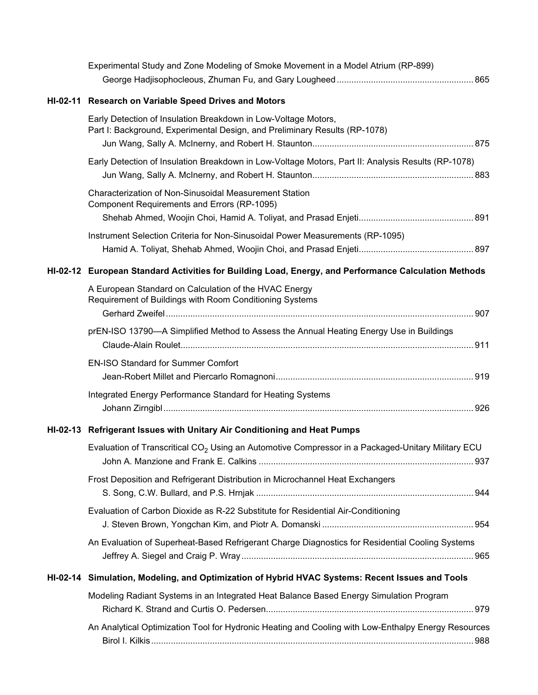| Experimental Study and Zone Modeling of Smoke Movement in a Model Atrium (RP-899)                                                            |  |
|----------------------------------------------------------------------------------------------------------------------------------------------|--|
|                                                                                                                                              |  |
| HI-02-11 Research on Variable Speed Drives and Motors                                                                                        |  |
| Early Detection of Insulation Breakdown in Low-Voltage Motors,<br>Part I: Background, Experimental Design, and Preliminary Results (RP-1078) |  |
|                                                                                                                                              |  |
| Early Detection of Insulation Breakdown in Low-Voltage Motors, Part II: Analysis Results (RP-1078)                                           |  |
| <b>Characterization of Non-Sinusoidal Measurement Station</b><br>Component Requirements and Errors (RP-1095)                                 |  |
|                                                                                                                                              |  |
| Instrument Selection Criteria for Non-Sinusoidal Power Measurements (RP-1095)                                                                |  |
| HI-02-12 European Standard Activities for Building Load, Energy, and Performance Calculation Methods                                         |  |
| A European Standard on Calculation of the HVAC Energy<br>Requirement of Buildings with Room Conditioning Systems                             |  |
| prEN-ISO 13790-A Simplified Method to Assess the Annual Heating Energy Use in Buildings                                                      |  |
| <b>EN-ISO Standard for Summer Comfort</b>                                                                                                    |  |
| Integrated Energy Performance Standard for Heating Systems                                                                                   |  |
| HI-02-13 Refrigerant Issues with Unitary Air Conditioning and Heat Pumps                                                                     |  |
| Evaluation of Transcritical CO <sub>2</sub> Using an Automotive Compressor in a Packaged-Unitary Military ECU                                |  |
| Frost Deposition and Refrigerant Distribution in Microchannel Heat Exchangers                                                                |  |
| Evaluation of Carbon Dioxide as R-22 Substitute for Residential Air-Conditioning                                                             |  |
| An Evaluation of Superheat-Based Refrigerant Charge Diagnostics for Residential Cooling Systems                                              |  |
| HI-02-14 Simulation, Modeling, and Optimization of Hybrid HVAC Systems: Recent Issues and Tools                                              |  |
| Modeling Radiant Systems in an Integrated Heat Balance Based Energy Simulation Program                                                       |  |
| An Analytical Optimization Tool for Hydronic Heating and Cooling with Low-Enthalpy Energy Resources                                          |  |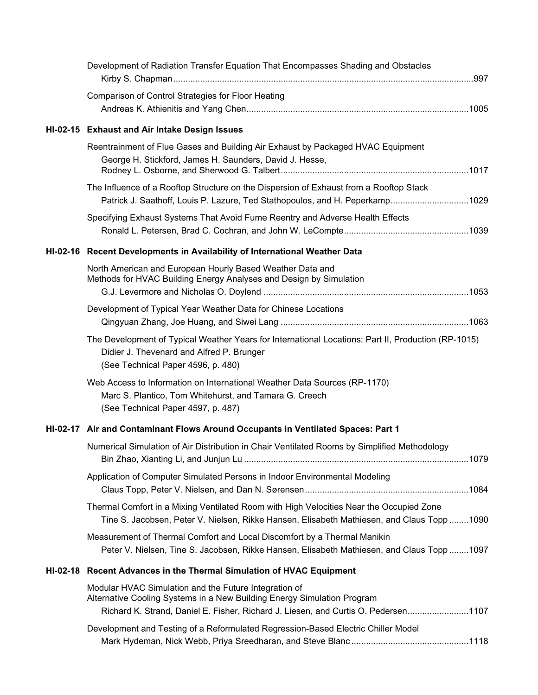| Development of Radiation Transfer Equation That Encompasses Shading and Obstacles                                                                                                                                      |  |
|------------------------------------------------------------------------------------------------------------------------------------------------------------------------------------------------------------------------|--|
| Comparison of Control Strategies for Floor Heating                                                                                                                                                                     |  |
| HI-02-15 Exhaust and Air Intake Design Issues                                                                                                                                                                          |  |
| Reentrainment of Flue Gases and Building Air Exhaust by Packaged HVAC Equipment<br>George H. Stickford, James H. Saunders, David J. Hesse,                                                                             |  |
| The Influence of a Rooftop Structure on the Dispersion of Exhaust from a Rooftop Stack<br>Patrick J. Saathoff, Louis P. Lazure, Ted Stathopoulos, and H. Peperkamp1029                                                 |  |
| Specifying Exhaust Systems That Avoid Fume Reentry and Adverse Health Effects                                                                                                                                          |  |
| HI-02-16 Recent Developments in Availability of International Weather Data                                                                                                                                             |  |
| North American and European Hourly Based Weather Data and<br>Methods for HVAC Building Energy Analyses and Design by Simulation                                                                                        |  |
| Development of Typical Year Weather Data for Chinese Locations                                                                                                                                                         |  |
| The Development of Typical Weather Years for International Locations: Part II, Production (RP-1015)<br>Didier J. Thevenard and Alfred P. Brunger<br>(See Technical Paper 4596, p. 480)                                 |  |
| Web Access to Information on International Weather Data Sources (RP-1170)<br>Marc S. Plantico, Tom Whitehurst, and Tamara G. Creech<br>(See Technical Paper 4597, p. 487)                                              |  |
| HI-02-17 Air and Contaminant Flows Around Occupants in Ventilated Spaces: Part 1                                                                                                                                       |  |
| Numerical Simulation of Air Distribution in Chair Ventilated Rooms by Simplified Methodology                                                                                                                           |  |
| Application of Computer Simulated Persons in Indoor Environmental Modeling                                                                                                                                             |  |
| Thermal Comfort in a Mixing Ventilated Room with High Velocities Near the Occupied Zone<br>Tine S. Jacobsen, Peter V. Nielsen, Rikke Hansen, Elisabeth Mathiesen, and Claus Topp1090                                   |  |
| Measurement of Thermal Comfort and Local Discomfort by a Thermal Manikin<br>Peter V. Nielsen, Tine S. Jacobsen, Rikke Hansen, Elisabeth Mathiesen, and Claus Topp1097                                                  |  |
| HI-02-18 Recent Advances in the Thermal Simulation of HVAC Equipment                                                                                                                                                   |  |
| Modular HVAC Simulation and the Future Integration of<br>Alternative Cooling Systems in a New Building Energy Simulation Program<br>Richard K. Strand, Daniel E. Fisher, Richard J. Liesen, and Curtis O. Pedersen1107 |  |
| Development and Testing of a Reformulated Regression-Based Electric Chiller Model                                                                                                                                      |  |